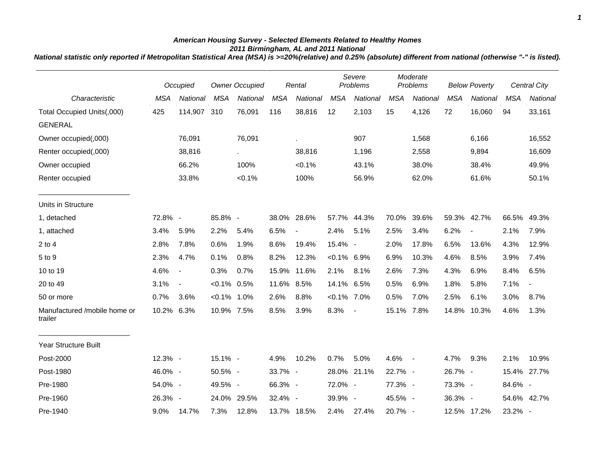## *American Housing Survey - Selected Elements Related to Healthy Homes 2011 Birmingham, AL and 2011 National*

*National statistic only reported if Metropolitan Statistical Area (MSA) is >=20%(relative) and 0.25% (absolute) different from national (otherwise "-" is listed).*

|                                         |            | Occupied                 |                | <b>Owner Occupied</b> |            | Rental                   |                | Severe<br>Problems |            | Moderate<br>Problems |            | <b>Below Poverty</b>     |             | <b>Central City</b>      |
|-----------------------------------------|------------|--------------------------|----------------|-----------------------|------------|--------------------------|----------------|--------------------|------------|----------------------|------------|--------------------------|-------------|--------------------------|
| Characteristic                          | <b>MSA</b> | National                 | <b>MSA</b>     | National              | <b>MSA</b> | National                 | <b>MSA</b>     | National           | <b>MSA</b> | National             | <b>MSA</b> | National                 | <b>MSA</b>  | National                 |
| Total Occupied Units(,000)              | 425        | 114,907                  | 310            | 76,091                | 116        | 38,816                   | 12             | 2,103              | 15         | 4,126                | 72         | 16,060                   | 94          | 33,161                   |
| <b>GENERAL</b>                          |            |                          |                |                       |            |                          |                |                    |            |                      |            |                          |             |                          |
| Owner occupied(,000)                    |            | 76,091                   |                | 76,091                |            | ä,                       |                | 907                |            | 1,568                |            | 6,166                    |             | 16,552                   |
| Renter occupied(,000)                   |            | 38,816                   |                | $\epsilon$            |            | 38,816                   |                | 1,196              |            | 2,558                |            | 9,894                    |             | 16,609                   |
| Owner occupied                          |            | 66.2%                    |                | 100%                  |            | $< 0.1\%$                |                | 43.1%              |            | 38.0%                |            | 38.4%                    |             | 49.9%                    |
| Renter occupied                         |            | 33.8%                    |                | $< 0.1\%$             |            | 100%                     |                | 56.9%              |            | 62.0%                |            | 61.6%                    |             | 50.1%                    |
| Units in Structure                      |            |                          |                |                       |            |                          |                |                    |            |                      |            |                          |             |                          |
| 1, detached                             | 72.8% -    |                          | 85.8% -        |                       |            | 38.0% 28.6%              |                | 57.7% 44.3%        | 70.0%      | 39.6%                |            | 59.3% 42.7%              | 66.5%       | 49.3%                    |
| 1, attached                             | 3.4%       | 5.9%                     | 2.2%           | 5.4%                  | 6.5%       | $\overline{\phantom{a}}$ | 2.4%           | 5.1%               | 2.5%       | 3.4%                 | 6.2%       | $\overline{\phantom{a}}$ | 2.1%        | 7.9%                     |
| $2$ to $4$                              | 2.8%       | 7.8%                     | 0.6%           | 1.9%                  | 8.6%       | 19.4%                    | 15.4% -        |                    | 2.0%       | 17.8%                | 6.5%       | 13.6%                    | 4.3%        | 12.9%                    |
| 5 to 9                                  | 2.3%       | 4.7%                     | 0.1%           | 0.8%                  | 8.2%       | 12.3%                    | $< 0.1\%$ 6.9% |                    | 6.9%       | 10.3%                | 4.6%       | 8.5%                     | 3.9%        | 7.4%                     |
| 10 to 19                                | 4.6%       | $\blacksquare$           | 0.3%           | 0.7%                  |            | 15.9% 11.6%              | 2.1%           | 8.1%               | 2.6%       | 7.3%                 | 4.3%       | 6.9%                     | 8.4%        | 6.5%                     |
| 20 to 49                                | 3.1%       | $\overline{\phantom{a}}$ | $< 0.1\%$ 0.5% |                       | 11.6% 8.5% |                          | 14.1% 6.5%     |                    | 0.5%       | 6.9%                 | 1.8%       | 5.8%                     | 7.1%        | $\overline{\phantom{a}}$ |
| 50 or more                              | 0.7%       | 3.6%                     | $< 0.1\%$ 1.0% |                       | 2.6%       | 8.8%                     | $< 0.1\%$ 7.0% |                    | 0.5%       | 7.0%                 | 2.5%       | 6.1%                     | 3.0%        | 8.7%                     |
| Manufactured /mobile home or<br>trailer | 10.2%      | 6.3%                     | 10.9% 7.5%     |                       | 8.5%       | 3.9%                     | 8.3%           | $\blacksquare$     | 15.1%      | 7.8%                 | 14.8%      | 10.3%                    | 4.6%        | 1.3%                     |
| Year Structure Built                    |            |                          |                |                       |            |                          |                |                    |            |                      |            |                          |             |                          |
| Post-2000                               | 12.3% -    |                          | $15.1\%$ -     |                       | 4.9%       | 10.2%                    | 0.7%           | 5.0%               | 4.6%       | $\sim$ $-$           | 4.7%       | 9.3%                     | 2.1%        | 10.9%                    |
| Post-1980                               | 46.0% -    |                          | 50.5% -        |                       | 33.7% -    |                          |                | 28.0% 21.1%        | 22.7% -    |                      | 26.7% -    |                          | 15.4% 27.7% |                          |
| Pre-1980                                | 54.0% -    |                          | 49.5% -        |                       | 66.3% -    |                          | 72.0% -        |                    | 77.3% -    |                      | 73.3% -    |                          | 84.6% -     |                          |
| Pre-1960                                | 26.3% -    |                          |                | 24.0% 29.5%           | 32.4% -    |                          | 39.9% -        |                    | 45.5% -    |                      | 36.3% -    |                          | 54.6% 42.7% |                          |
| Pre-1940                                | 9.0%       | 14.7%                    | 7.3%           | 12.8%                 |            | 13.7% 18.5%              | 2.4%           | 27.4%              | 20.7% -    |                      |            | 12.5% 17.2%              | 23.2% -     |                          |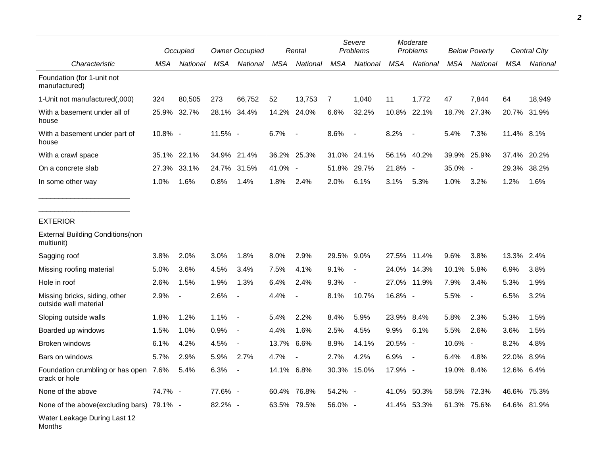|                                                        |         | Occupied                 |         | <b>Owner Occupied</b>    |            | Rental                   |            | Severe<br>Problems       |            | Moderate<br>Problems     |            | <b>Below Poverty</b>     |            | Central City |  |
|--------------------------------------------------------|---------|--------------------------|---------|--------------------------|------------|--------------------------|------------|--------------------------|------------|--------------------------|------------|--------------------------|------------|--------------|--|
| Characteristic                                         | MSA     | National                 | MSA     | National                 | <b>MSA</b> | National                 | <b>MSA</b> | National                 | <b>MSA</b> | National                 | <b>MSA</b> | National                 | <b>MSA</b> | National     |  |
| Foundation (for 1-unit not<br>manufactured)            |         |                          |         |                          |            |                          |            |                          |            |                          |            |                          |            |              |  |
| 1-Unit not manufactured(,000)                          | 324     | 80,505                   | 273     | 66,752                   | 52         | 13,753                   | 7          | 1,040                    | 11         | 1,772                    | 47         | 7,844                    | 64         | 18,949       |  |
| With a basement under all of<br>house                  |         | 25.9% 32.7%              |         | 28.1% 34.4%              | 14.2%      | 24.0%                    | 6.6%       | 32.2%                    |            | 10.8% 22.1%              | 18.7%      | 27.3%                    |            | 20.7% 31.9%  |  |
| With a basement under part of<br>house                 | 10.8% - |                          | 11.5% - |                          | 6.7%       | $\overline{\phantom{a}}$ | 8.6%       | $\overline{\phantom{a}}$ | 8.2%       | $\overline{\phantom{a}}$ | 5.4%       | 7.3%                     | 11.4% 8.1% |              |  |
| With a crawl space                                     | 35.1%   | 22.1%                    | 34.9%   | 21.4%                    |            | 36.2% 25.3%              | 31.0%      | 24.1%                    |            | 56.1% 40.2%              | 39.9%      | 25.9%                    | 37.4%      | 20.2%        |  |
| On a concrete slab                                     | 27.3%   | 33.1%                    | 24.7%   | 31.5%                    | 41.0% -    |                          | 51.8%      | 29.7%                    | 21.8%      | $\sim$                   | 35.0% -    |                          | 29.3%      | 38.2%        |  |
| In some other way                                      | 1.0%    | 1.6%                     | 0.8%    | 1.4%                     | 1.8%       | 2.4%                     | 2.0%       | 6.1%                     | 3.1%       | 5.3%                     | 1.0%       | 3.2%                     | 1.2%       | 1.6%         |  |
| <b>EXTERIOR</b>                                        |         |                          |         |                          |            |                          |            |                          |            |                          |            |                          |            |              |  |
| <b>External Building Conditions (non</b><br>multiunit) |         |                          |         |                          |            |                          |            |                          |            |                          |            |                          |            |              |  |
| Sagging roof                                           | 3.8%    | 2.0%                     | 3.0%    | 1.8%                     | 8.0%       | 2.9%                     | 29.5% 9.0% |                          |            | 27.5% 11.4%              | 9.6%       | 3.8%                     | 13.3% 2.4% |              |  |
| Missing roofing material                               | 5.0%    | 3.6%                     | 4.5%    | 3.4%                     | 7.5%       | 4.1%                     | 9.1%       | $\blacksquare$           | 24.0%      | 14.3%                    | 10.1%      | 5.8%                     | 6.9%       | 3.8%         |  |
| Hole in roof                                           | 2.6%    | 1.5%                     | 1.9%    | 1.3%                     | 6.4%       | 2.4%                     | 9.3%       |                          |            | 27.0% 11.9%              | 7.9%       | 3.4%                     | 5.3%       | 1.9%         |  |
| Missing bricks, siding, other<br>outside wall material | 2.9%    | $\overline{\phantom{a}}$ | 2.6%    |                          | 4.4%       |                          | 8.1%       | 10.7%                    | 16.8% -    |                          | 5.5%       | $\overline{\phantom{a}}$ | 6.5%       | 3.2%         |  |
| Sloping outside walls                                  | 1.8%    | 1.2%                     | 1.1%    | $\blacksquare$           | 5.4%       | 2.2%                     | 8.4%       | 5.9%                     | 23.9%      | 8.4%                     | 5.8%       | 2.3%                     | 5.3%       | 1.5%         |  |
| Boarded up windows                                     | 1.5%    | 1.0%                     | 0.9%    | $\blacksquare$           | 4.4%       | 1.6%                     | 2.5%       | 4.5%                     | 9.9%       | 6.1%                     | 5.5%       | 2.6%                     | 3.6%       | 1.5%         |  |
| Broken windows                                         | 6.1%    | 4.2%                     | 4.5%    | $\overline{\phantom{a}}$ | 13.7%      | 6.6%                     | 8.9%       | 14.1%                    | 20.5% -    |                          | 10.6% -    |                          | 8.2%       | 4.8%         |  |
| Bars on windows                                        | 5.7%    | 2.9%                     | 5.9%    | 2.7%                     | 4.7%       | $\overline{\phantom{a}}$ | 2.7%       | 4.2%                     | 6.9%       |                          | 6.4%       | 4.8%                     | 22.0%      | 8.9%         |  |
| Foundation crumbling or has open 7.6%<br>crack or hole |         | 5.4%                     | 6.3%    |                          | 14.1%      | 6.8%                     |            | 30.3% 15.0%              | 17.9%      |                          | 19.0% 8.4% |                          | 12.6% 6.4% |              |  |
| None of the above                                      | 74.7% - |                          | 77.6% - |                          |            | 60.4% 76.8%              | 54.2% -    |                          |            | 41.0% 50.3%              |            | 58.5% 72.3%              |            | 46.6% 75.3%  |  |
| None of the above(excluding bars) 79.1% -              |         |                          | 82.2% - |                          |            | 63.5% 79.5%              | 56.0% -    |                          |            | 41.4% 53.3%              |            | 61.3% 75.6%              |            | 64.6% 81.9%  |  |
| Water Leakage During Last 12<br>Months                 |         |                          |         |                          |            |                          |            |                          |            |                          |            |                          |            |              |  |

*2*

٠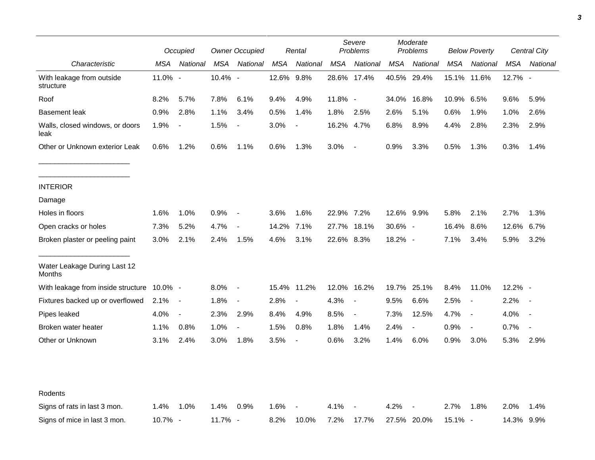|                                         |         | Occupied                 |         | <b>Owner Occupied</b>    |       | Rental                   |            | Severe<br>Problems       |            | Moderate<br>Problems |         | <b>Below Poverty</b>     |            | Central City   |  |
|-----------------------------------------|---------|--------------------------|---------|--------------------------|-------|--------------------------|------------|--------------------------|------------|----------------------|---------|--------------------------|------------|----------------|--|
| Characteristic                          | MSA     | National                 | MSA     | National                 | MSA   | National                 | <b>MSA</b> | National                 | MSA        | National             | MSA     | National                 | <b>MSA</b> | National       |  |
| With leakage from outside<br>structure  | 11.0% - |                          | 10.4% - |                          | 12.6% | 9.8%                     |            | 28.6% 17.4%              |            | 40.5% 29.4%          | 15.1%   | 11.6%                    | 12.7% -    |                |  |
| Roof                                    | 8.2%    | 5.7%                     | 7.8%    | 6.1%                     | 9.4%  | 4.9%                     | 11.8% -    |                          | 34.0%      | 16.8%                | 10.9%   | 6.5%                     | 9.6%       | 5.9%           |  |
| <b>Basement leak</b>                    | 0.9%    | 2.8%                     | 1.1%    | 3.4%                     | 0.5%  | 1.4%                     | 1.8%       | 2.5%                     | 2.6%       | 5.1%                 | 0.6%    | 1.9%                     | 1.0%       | 2.6%           |  |
| Walls, closed windows, or doors<br>leak | 1.9%    | $\overline{\phantom{a}}$ | 1.5%    | $\overline{\phantom{a}}$ | 3.0%  | $\blacksquare$           | 16.2% 4.7% |                          | 6.8%       | 8.9%                 | 4.4%    | 2.8%                     | 2.3%       | 2.9%           |  |
| Other or Unknown exterior Leak          | 0.6%    | 1.2%                     | 0.6%    | 1.1%                     | 0.6%  | 1.3%                     | 3.0%       | $\overline{\phantom{a}}$ | 0.9%       | 3.3%                 | 0.5%    | 1.3%                     | 0.3%       | 1.4%           |  |
| <b>INTERIOR</b>                         |         |                          |         |                          |       |                          |            |                          |            |                      |         |                          |            |                |  |
| Damage                                  |         |                          |         |                          |       |                          |            |                          |            |                      |         |                          |            |                |  |
| Holes in floors                         | 1.6%    | 1.0%                     | 0.9%    | $\overline{\phantom{a}}$ | 3.6%  | 1.6%                     | 22.9% 7.2% |                          | 12.6% 9.9% |                      | 5.8%    | 2.1%                     | 2.7%       | 1.3%           |  |
| Open cracks or holes                    | 7.3%    | 5.2%                     | 4.7%    |                          | 14.2% | 7.1%                     | 27.7%      | 18.1%                    | $30.6\%$ - |                      | 16.4%   | 8.6%                     | 12.6%      | 6.7%           |  |
| Broken plaster or peeling paint         | 3.0%    | 2.1%                     | 2.4%    | 1.5%                     | 4.6%  | 3.1%                     | 22.6% 8.3% |                          | 18.2% -    |                      | 7.1%    | 3.4%                     | 5.9%       | 3.2%           |  |
| Water Leakage During Last 12<br>Months  |         |                          |         |                          |       |                          |            |                          |            |                      |         |                          |            |                |  |
| With leakage from inside structure      | 10.0% - |                          | 8.0%    | $\overline{\phantom{a}}$ |       | 15.4% 11.2%              | 12.0%      | 16.2%                    |            | 19.7% 25.1%          | 8.4%    | 11.0%                    | 12.2% -    |                |  |
| Fixtures backed up or overflowed        | 2.1%    | $\overline{\phantom{a}}$ | 1.8%    | $\blacksquare$           | 2.8%  | $\overline{\phantom{a}}$ | 4.3%       | $\blacksquare$           | $9.5\%$    | 6.6%                 | 2.5%    | $\overline{\phantom{a}}$ | 2.2%       |                |  |
| Pipes leaked                            | 4.0%    | $\overline{\phantom{a}}$ | 2.3%    | 2.9%                     | 8.4%  | 4.9%                     | 8.5%       | $\overline{\phantom{a}}$ | 7.3%       | 12.5%                | 4.7%    | $\overline{\phantom{a}}$ | 4.0%       |                |  |
| Broken water heater                     | 1.1%    | 0.8%                     | 1.0%    | $\blacksquare$           | 1.5%  | 0.8%                     | 1.8%       | 1.4%                     | 2.4%       | $\blacksquare$       | 0.9%    | $\overline{\phantom{a}}$ | 0.7%       | $\blacksquare$ |  |
| Other or Unknown                        | 3.1%    | 2.4%                     | 3.0%    | 1.8%                     | 3.5%  | $\blacksquare$           | 0.6%       | 3.2%                     | 1.4%       | 6.0%                 | 0.9%    | 3.0%                     | 5.3%       | 2.9%           |  |
|                                         |         |                          |         |                          |       |                          |            |                          |            |                      |         |                          |            |                |  |
| Rodents                                 |         |                          |         |                          |       |                          |            |                          |            |                      |         |                          |            |                |  |
| Signs of rats in last 3 mon.            | 1.4%    | 1.0%                     | 1.4%    | 0.9%                     | 1.6%  | $\overline{\phantom{a}}$ | 4.1%       |                          | 4.2%       |                      | 2.7%    | 1.8%                     | 2.0%       | 1.4%           |  |
| Signs of mice in last 3 mon.            | 10.7% - |                          | 11.7% - |                          | 8.2%  | 10.0%                    | 7.2%       | 17.7%                    |            | 27.5% 20.0%          | 15.1% - |                          | 14.3% 9.9% |                |  |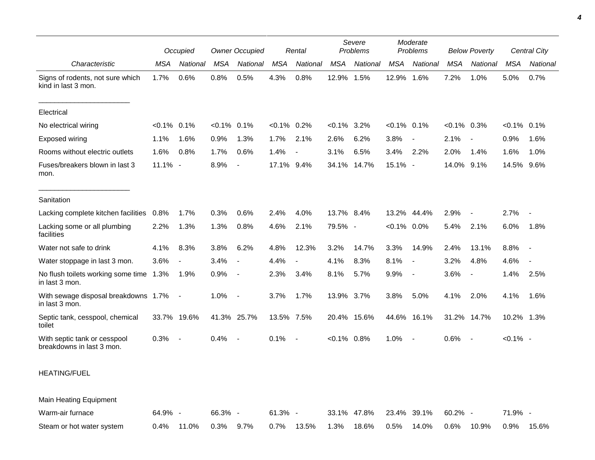|                                                           | Occupied       |                          | <b>Owner Occupied</b> |                          | Rental         |                          | Severe<br>Problems |             | Moderate<br>Problems |                          | <b>Below Poverty</b> |                          | <b>Central City</b> |                          |
|-----------------------------------------------------------|----------------|--------------------------|-----------------------|--------------------------|----------------|--------------------------|--------------------|-------------|----------------------|--------------------------|----------------------|--------------------------|---------------------|--------------------------|
| Characteristic                                            | <b>MSA</b>     | National                 | MSA                   | National                 | MSA            | National                 | <b>MSA</b>         | National    | <b>MSA</b>           | National                 | <b>MSA</b>           | National                 | MSA                 | National                 |
| Signs of rodents, not sure which<br>kind in last 3 mon.   | 1.7%           | 0.6%                     | 0.8%                  | 0.5%                     | 4.3%           | 0.8%                     | 12.9%              | 1.5%        | 12.9%                | 1.6%                     | 7.2%                 | 1.0%                     | 5.0%                | 0.7%                     |
| Electrical                                                |                |                          |                       |                          |                |                          |                    |             |                      |                          |                      |                          |                     |                          |
| No electrical wiring                                      | $< 0.1\%$ 0.1% |                          | $< 0.1\%$ 0.1%        |                          | $< 0.1\%$ 0.2% |                          | $< 0.1\%$ 3.2%     |             | $< 0.1\%$ 0.1%       |                          | $< 0.1\%$ 0.3%       |                          | $< 0.1\%$ 0.1%      |                          |
| Exposed wiring                                            | 1.1%           | 1.6%                     | 0.9%                  | 1.3%                     | 1.7%           | 2.1%                     | 2.6%               | 6.2%        | 3.8%                 |                          | 2.1%                 |                          | 0.9%                | 1.6%                     |
| Rooms without electric outlets                            | 1.6%           | 0.8%                     | 1.7%                  | 0.6%                     | 1.4%           | $\overline{\phantom{a}}$ | 3.1%               | 6.5%        | 3.4%                 | 2.2%                     | 2.0%                 | 1.4%                     | 1.6%                | 1.0%                     |
| Fuses/breakers blown in last 3<br>mon.                    | 11.1% -        |                          | 8.9%                  | $\overline{a}$           | 17.1% 9.4%     |                          |                    | 34.1% 14.7% | 15.1% -              |                          | 14.0% 9.1%           |                          | 14.5%               | 9.6%                     |
| Sanitation                                                |                |                          |                       |                          |                |                          |                    |             |                      |                          |                      |                          |                     |                          |
| Lacking complete kitchen facilities                       | 0.8%           | 1.7%                     | 0.3%                  | 0.6%                     | 2.4%           | 4.0%                     | 13.7% 8.4%         |             |                      | 13.2% 44.4%              | 2.9%                 | $\overline{\phantom{a}}$ | 2.7%                |                          |
| Lacking some or all plumbing<br>facilities                | 2.2%           | 1.3%                     | 1.3%                  | 0.8%                     | 4.6%           | 2.1%                     | 79.5% -            |             | $< 0.1\%$ 0.0%       |                          | 5.4%                 | 2.1%                     | 6.0%                | 1.8%                     |
| Water not safe to drink                                   | 4.1%           | 8.3%                     | 3.8%                  | 6.2%                     | 4.8%           | 12.3%                    | 3.2%               | 14.7%       | 3.3%                 | 14.9%                    | 2.4%                 | 13.1%                    | 8.8%                |                          |
| Water stoppage in last 3 mon.                             | 3.6%           | $\overline{\phantom{a}}$ | 3.4%                  | $\blacksquare$           | 4.4%           | $\overline{\phantom{a}}$ | 4.1%               | 8.3%        | 8.1%                 | $\overline{\phantom{a}}$ | 3.2%                 | 4.8%                     | 4.6%                | $\overline{\phantom{a}}$ |
| No flush toilets working some time 1.3%<br>in last 3 mon. |                | 1.9%                     | 0.9%                  | $\overline{\phantom{a}}$ | 2.3%           | 3.4%                     | 8.1%               | 5.7%        | 9.9%                 | $\blacksquare$           | 3.6%                 | $\overline{\phantom{a}}$ | 1.4%                | 2.5%                     |
| With sewage disposal breakdowns 1.7%<br>in last 3 mon.    |                | $\sim$ $-$               | 1.0%                  | $\blacksquare$           | 3.7%           | 1.7%                     | 13.9% 3.7%         |             | 3.8%                 | 5.0%                     | 4.1%                 | 2.0%                     | 4.1%                | 1.6%                     |
| Septic tank, cesspool, chemical<br>toilet                 |                | 33.7% 19.6%              |                       | 41.3% 25.7%              | 13.5% 7.5%     |                          |                    | 20.4% 15.6% |                      | 44.6% 16.1%              |                      | 31.2% 14.7%              | 10.2% 1.3%          |                          |
| With septic tank or cesspool<br>breakdowns in last 3 mon. | 0.3%           |                          | 0.4%                  | $\overline{\phantom{a}}$ | 0.1%           | $\overline{\phantom{a}}$ | $< 0.1\%$ 0.8%     |             | 1.0%                 |                          | 0.6%                 | $\blacksquare$           | $< 0.1\%$ -         |                          |
| <b>HEATING/FUEL</b>                                       |                |                          |                       |                          |                |                          |                    |             |                      |                          |                      |                          |                     |                          |
| Main Heating Equipment                                    |                |                          |                       |                          |                |                          |                    |             |                      |                          |                      |                          |                     |                          |
| Warm-air furnace                                          | 64.9% -        |                          | 66.3% -               |                          | $61.3\% -$     |                          |                    | 33.1% 47.8% |                      | 23.4% 39.1%              | 60.2% -              |                          | 71.9% -             |                          |
| Steam or hot water system                                 | 0.4%           | 11.0%                    | 0.3%                  | 9.7%                     | 0.7%           | 13.5%                    | 1.3%               | 18.6%       | 0.5%                 | 14.0%                    | 0.6%                 | 10.9%                    | 0.9%                | 15.6%                    |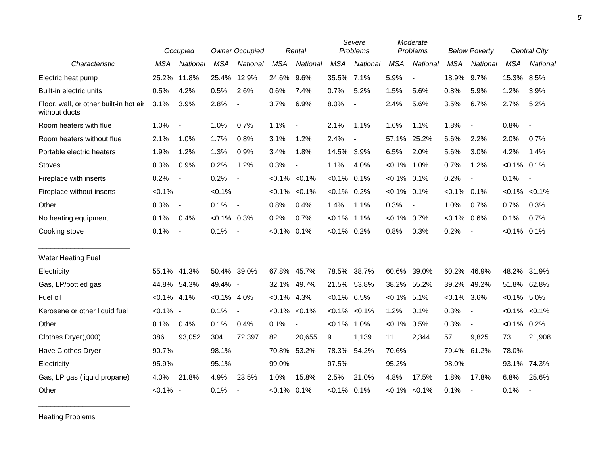|                                                         |                | Occupied                 |                | <b>Owner Occupied</b>    |                | Rental                   |                | Severe<br>Problems       |                | Moderate<br>Problems |                | <b>Below Poverty</b>     |                | Central City             |
|---------------------------------------------------------|----------------|--------------------------|----------------|--------------------------|----------------|--------------------------|----------------|--------------------------|----------------|----------------------|----------------|--------------------------|----------------|--------------------------|
| Characteristic                                          | <b>MSA</b>     | National                 | <b>MSA</b>     | National                 | <b>MSA</b>     | National                 | <b>MSA</b>     | National                 | <b>MSA</b>     | National             | <b>MSA</b>     | National                 | <b>MSA</b>     | National                 |
| Electric heat pump                                      | 25.2%          | 11.8%                    | 25.4%          | 12.9%                    | 24.6%          | 9.6%                     | 35.5%          | 7.1%                     | 5.9%           | $\blacksquare$       | 18.9%          | 9.7%                     | 15.3%          | 8.5%                     |
| Built-in electric units                                 | 0.5%           | 4.2%                     | 0.5%           | 2.6%                     | 0.6%           | 7.4%                     | 0.7%           | 5.2%                     | 1.5%           | 5.6%                 | 0.8%           | 5.9%                     | 1.2%           | 3.9%                     |
| Floor, wall, or other built-in hot air<br>without ducts | 3.1%           | 3.9%                     | 2.8%           | $\overline{\phantom{a}}$ | 3.7%           | 6.9%                     | 8.0%           | $\overline{a}$           | 2.4%           | 5.6%                 | 3.5%           | 6.7%                     | 2.7%           | 5.2%                     |
| Room heaters with flue                                  | 1.0%           | $\blacksquare$           | 1.0%           | 0.7%                     | 1.1%           | $\overline{\phantom{a}}$ | 2.1%           | 1.1%                     | 1.6%           | 1.1%                 | 1.8%           | $\overline{\phantom{a}}$ | 0.8%           | $\blacksquare$           |
| Room heaters without flue                               | 2.1%           | 1.0%                     | 1.7%           | 0.8%                     | 3.1%           | 1.2%                     | 2.4%           | $\overline{\phantom{a}}$ | 57.1%          | 25.2%                | 6.6%           | 2.2%                     | 2.0%           | 0.7%                     |
| Portable electric heaters                               | 1.9%           | 1.2%                     | 1.3%           | 0.9%                     | 3.4%           | 1.8%                     | 14.5% 3.9%     |                          | 6.5%           | 2.0%                 | 5.6%           | 3.0%                     | 4.2%           | 1.4%                     |
| <b>Stoves</b>                                           | 0.3%           | 0.9%                     | 0.2%           | 1.2%                     | 0.3%           |                          | 1.1%           | 4.0%                     | $< 0.1\%$ 1.0% |                      | 0.7%           | 1.2%                     | $< 0.1\%$ 0.1% |                          |
| Fireplace with inserts                                  | 0.2%           | $\overline{\phantom{a}}$ | 0.2%           | $\overline{\phantom{a}}$ | $< 0.1\%$      | $< 0.1\%$                | $< 0.1\%$      | 0.1%                     | $< 0.1\%$      | 0.1%                 | 0.2%           | $\overline{\phantom{a}}$ | 0.1%           | $\blacksquare$           |
| Fireplace without inserts                               | $< 0.1\%$ -    |                          | $< 0.1\%$ -    |                          |                | $< 0.1\% < 0.1\%$        | $< 0.1\%$ 0.2% |                          | $< 0.1\%$      | 0.1%                 | $< 0.1\%$ 0.1% |                          |                | $< 0.1\%$ $< 0.1\%$      |
| Other                                                   | 0.3%           | $\overline{\phantom{a}}$ | 0.1%           | $\sim$                   | 0.8%           | 0.4%                     | 1.4%           | 1.1%                     | 0.3%           | $\overline{a}$       | 1.0%           | 0.7%                     | 0.7%           | 0.3%                     |
| No heating equipment                                    | 0.1%           | 0.4%                     | $< 0.1\%$ 0.3% |                          | 0.2%           | 0.7%                     | $< 0.1\%$      | 1.1%                     | $< 0.1\%$      | 0.7%                 | $< 0.1\%$ 0.6% |                          | 0.1%           | 0.7%                     |
| Cooking stove                                           | 0.1%           | $\blacksquare$           | 0.1%           | $\sim$ $-$               | $< 0.1\%$      | 0.1%                     | $< 0.1\%$ 0.2% |                          | 0.8%           | 0.3%                 | 0.2%           | $\blacksquare$           | $< 0.1\%$ 0.1% |                          |
| <b>Water Heating Fuel</b>                               |                |                          |                |                          |                |                          |                |                          |                |                      |                |                          |                |                          |
| Electricity                                             | 55.1%          | 41.3%                    | 50.4% 39.0%    |                          | 67.8% 45.7%    |                          | 78.5%          | 38.7%                    | 60.6%          | 39.0%                | 60.2%          | 46.9%                    | 48.2%          | 31.9%                    |
| Gas, LP/bottled gas                                     | 44.8%          | 54.3%                    | 49.4% -        |                          | 32.1%          | 49.7%                    | 21.5%          | 53.8%                    | 38.2%          | 55.2%                | 39.2%          | 49.2%                    | 51.8%          | 62.8%                    |
| Fuel oil                                                | $< 0.1\%$ 4.1% |                          | $< 0.1\%$ 4.0% |                          | $< 0.1\%$ 4.3% |                          | $< 0.1\%$ 6.5% |                          | $< 0.1\%$      | 5.1%                 | $< 0.1\%$ 3.6% |                          | $< 0.1\%$ 5.0% |                          |
| Kerosene or other liquid fuel                           | $< 0.1\%$ -    |                          | 0.1%           |                          |                | $< 0.1\%$ $< 0.1\%$      | $< 0.1\%$      | $< 0.1\%$                | 1.2%           | 0.1%                 | 0.3%           | $\overline{\phantom{a}}$ |                | $< 0.1\%$ $< 0.1\%$      |
| Other                                                   | 0.1%           | 0.4%                     | 0.1%           | 0.4%                     | 0.1%           | $\blacksquare$           | $< 0.1\%$      | 1.0%                     | $< 0.1\%$      | 0.5%                 | 0.3%           | $\overline{\phantom{a}}$ | $< 0.1\%$ 0.2% |                          |
| Clothes Dryer(,000)                                     | 386            | 93,052                   | 304            | 72,397                   | 82             | 20,655                   | 9              | 1,139                    | 11             | 2,344                | 57             | 9,825                    | 73             | 21,908                   |
| Have Clothes Dryer                                      | 90.7% -        |                          | 98.1% -        |                          |                | 70.8% 53.2%              | 78.3%          | 54.2%                    | 70.6% -        |                      | 79.4% 61.2%    |                          | 78.0% -        |                          |
| Electricity                                             | 95.9% -        |                          | 95.1% -        |                          | 99.0% -        |                          | 97.5% -        |                          | 95.2% -        |                      | 98.0% -        |                          | 93.1%          | 74.3%                    |
| Gas, LP gas (liquid propane)                            | 4.0%           | 21.8%                    | 4.9%           | 23.5%                    | 1.0%           | 15.8%                    | 2.5%           | 21.0%                    | 4.8%           | 17.5%                | 1.8%           | 17.8%                    | 6.8%           | 25.6%                    |
| Other                                                   | $< 0.1\%$ -    |                          | 0.1%           |                          | $< 0.1\%$ 0.1% |                          | $< 0.1\%$ 0.1% |                          |                | $< 0.1\%$ $< 0.1\%$  | 0.1%           | $\overline{\phantom{a}}$ | 0.1%           | $\overline{\phantom{a}}$ |

Heating Problems

\_\_\_\_\_\_\_\_\_\_\_\_\_\_\_\_\_\_\_\_\_\_\_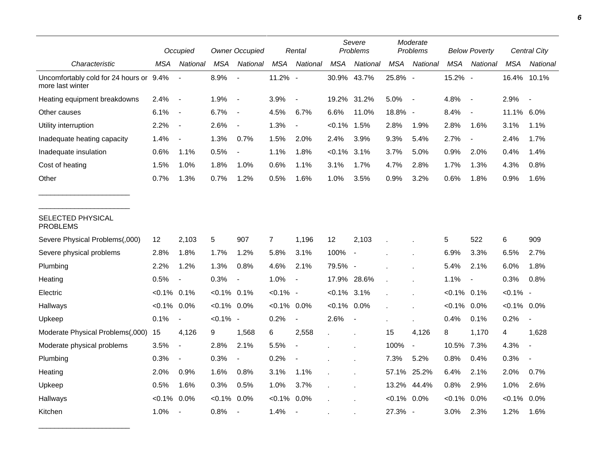|                                                             |                | Occupied                 |                | <b>Owner Occupied</b>    |                | Rental                   |                | Severe<br>Problems       |                | Moderate<br>Problems     |                | <b>Below Poverty</b>     |                | Central City             |  |
|-------------------------------------------------------------|----------------|--------------------------|----------------|--------------------------|----------------|--------------------------|----------------|--------------------------|----------------|--------------------------|----------------|--------------------------|----------------|--------------------------|--|
| Characteristic                                              | MSA            | National                 | <b>MSA</b>     | National                 | <b>MSA</b>     | National                 | <b>MSA</b>     | National                 | <b>MSA</b>     | National                 | <b>MSA</b>     | National                 | MSA            | National                 |  |
| Uncomfortably cold for 24 hours or 9.4%<br>more last winter |                | $\blacksquare$           | 8.9%           | $\blacksquare$           | 11.2% -        |                          | 30.9% 43.7%    |                          | 25.8% -        |                          | 15.2% -        |                          |                | 16.4% 10.1%              |  |
| Heating equipment breakdowns                                | 2.4%           | $\overline{\phantom{a}}$ | 1.9%           | $\blacksquare$           | 3.9%           | $\overline{\phantom{a}}$ | 19.2%          | 31.2%                    | 5.0%           | $\overline{\phantom{a}}$ | 4.8%           | $\overline{\phantom{a}}$ | 2.9%           | $\overline{\phantom{a}}$ |  |
| Other causes                                                | 6.1%           | $\overline{\phantom{a}}$ | 6.7%           | $\overline{\phantom{a}}$ | 4.5%           | 6.7%                     | 6.6%           | 11.0%                    | 18.8% -        |                          | 8.4%           | $\overline{\phantom{a}}$ | 11.1%          | 6.0%                     |  |
| Utility interruption                                        | 2.2%           | $\overline{\phantom{a}}$ | 2.6%           | $\overline{\phantom{a}}$ | 1.3%           | $\overline{\phantom{a}}$ | $< 0.1\%$      | 1.5%                     | 2.8%           | 1.9%                     | 2.8%           | 1.6%                     | 3.1%           | 1.1%                     |  |
| Inadequate heating capacity                                 | 1.4%           | $\overline{\phantom{a}}$ | 1.3%           | 0.7%                     | 1.5%           | 2.0%                     | 2.4%           | 3.9%                     | 9.3%           | 5.4%                     | 2.7%           | $\overline{\phantom{a}}$ | 2.4%           | 1.7%                     |  |
| Inadequate insulation                                       | 0.6%           | 1.1%                     | 0.5%           | $\overline{\phantom{a}}$ | 1.1%           | 1.8%                     | $< 0.1\%$      | 3.1%                     | 3.7%           | 5.0%                     | 0.9%           | 2.0%                     | 0.4%           | 1.4%                     |  |
| Cost of heating                                             | 1.5%           | 1.0%                     | 1.8%           | 1.0%                     | 0.6%           | 1.1%                     | 3.1%           | 1.7%                     | 4.7%           | 2.8%                     | 1.7%           | 1.3%                     | 4.3%           | 0.8%                     |  |
| Other                                                       | 0.7%           | 1.3%                     | 0.7%           | 1.2%                     | 0.5%           | 1.6%                     | 1.0%           | 3.5%                     | 0.9%           | 3.2%                     | 0.6%           | 1.8%                     | 0.9%           | 1.6%                     |  |
| SELECTED PHYSICAL<br><b>PROBLEMS</b>                        |                |                          |                |                          |                |                          |                |                          |                |                          |                |                          |                |                          |  |
| Severe Physical Problems(,000)                              | 12             | 2,103                    | 5              | 907                      | 7              | 1,196                    | 12             | 2,103                    |                |                          | 5              | 522                      | 6              | 909                      |  |
| Severe physical problems                                    | 2.8%           | 1.8%                     | 1.7%           | 1.2%                     | 5.8%           | 3.1%                     | 100%           | $\overline{\phantom{a}}$ |                |                          | 6.9%           | 3.3%                     | 6.5%           | 2.7%                     |  |
| Plumbing                                                    | 2.2%           | 1.2%                     | 1.3%           | 0.8%                     | 4.6%           | 2.1%                     | 79.5% -        |                          |                |                          | 5.4%           | 2.1%                     | 6.0%           | 1.8%                     |  |
| Heating                                                     | 0.5%           | $\overline{\phantom{a}}$ | 0.3%           | $\blacksquare$           | 1.0%           | $\overline{\phantom{a}}$ | 17.9%          | 28.6%                    |                |                          | 1.1%           | $\overline{\phantom{a}}$ | 0.3%           | 0.8%                     |  |
| Electric                                                    | $< 0.1\%$ 0.1% |                          | $< 0.1\%$ 0.1% |                          | $< 0.1\%$ -    |                          | $< 0.1\%$ 3.1% |                          |                |                          | $< 0.1\%$ 0.1% |                          | $< 0.1\%$ -    |                          |  |
| Hallways                                                    | $< 0.1\%$ 0.0% |                          | $< 0.1\%$ 0.0% |                          | $< 0.1\%$ 0.0% |                          | $< 0.1\%$ 0.0% |                          |                |                          | $< 0.1\%$      | $0.0\%$                  | $< 0.1\%$ 0.0% |                          |  |
| Upkeep                                                      | 0.1%           | $\overline{\phantom{a}}$ | $< 0.1\%$ -    |                          | 0.2%           | $\overline{\phantom{a}}$ | 2.6%           | $\blacksquare$           |                |                          | 0.4%           | 0.1%                     | 0.2%           |                          |  |
| Moderate Physical Problems(,000)                            | 15             | 4,126                    | 9              | 1,568                    | 6              | 2,558                    |                |                          | 15             | 4,126                    | 8              | 1,170                    | 4              | 1,628                    |  |
| Moderate physical problems                                  | 3.5%           | $\overline{\phantom{a}}$ | 2.8%           | 2.1%                     | 5.5%           | $\overline{\phantom{a}}$ |                |                          | 100%           | $\blacksquare$           | 10.5%          | 7.3%                     | 4.3%           | $\overline{a}$           |  |
| Plumbing                                                    | 0.3%           | $\overline{\phantom{a}}$ | 0.3%           | $\overline{\phantom{a}}$ | 0.2%           |                          |                |                          | 7.3%           | 5.2%                     | 0.8%           | 0.4%                     | 0.3%           |                          |  |
| Heating                                                     | 2.0%           | 0.9%                     | 1.6%           | 0.8%                     | 3.1%           | 1.1%                     |                |                          |                | 57.1% 25.2%              | 6.4%           | 2.1%                     | 2.0%           | 0.7%                     |  |
| Upkeep                                                      | 0.5%           | 1.6%                     | 0.3%           | 0.5%                     | 1.0%           | 3.7%                     |                |                          | 13.2%          | 44.4%                    | 0.8%           | 2.9%                     | 1.0%           | 2.6%                     |  |
| Hallways                                                    | $< 0.1\%$      | 0.0%                     | $< 0.1\%$      | 0.0%                     | $< 0.1\%$      | 0.0%                     |                |                          | $< 0.1\%$ 0.0% |                          | $< 0.1\%$      | 0.0%                     | $< 0.1\%$      | 0.0%                     |  |
| Kitchen                                                     | 1.0%           | $\blacksquare$           | 0.8%           |                          | 1.4%           | $\sim$                   |                |                          | 27.3% -        |                          | 3.0%           | 2.3%                     | 1.2%           | 1.6%                     |  |

\_\_\_\_\_\_\_\_\_\_\_\_\_\_\_\_\_\_\_\_\_\_\_